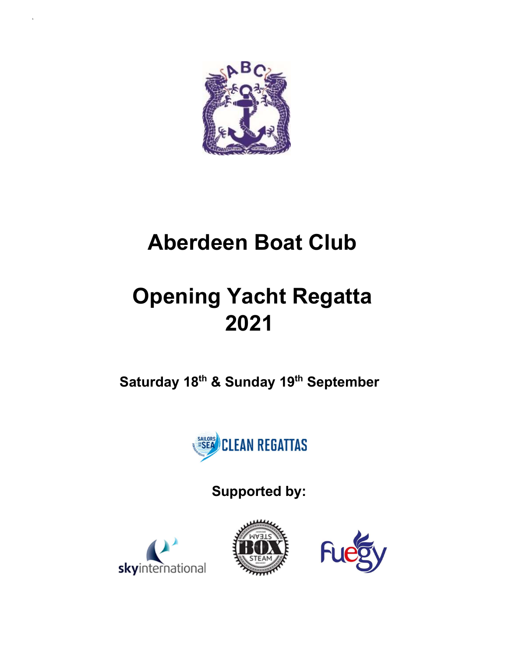

b<sub>a</sub>

# Aberdeen Boat Club

# Opening Yacht Regatta 2021

Saturday 18<sup>th</sup> & Sunday 19<sup>th</sup> September



Supported by:





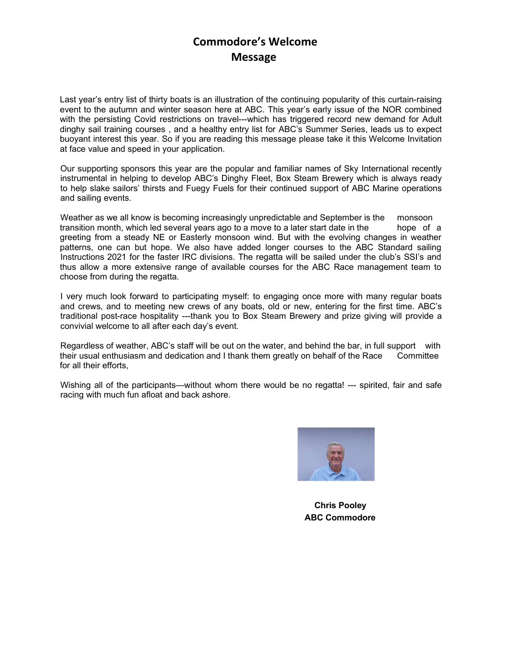### Commodore's Welcome Message

Last year's entry list of thirty boats is an illustration of the continuing popularity of this curtain-raising event to the autumn and winter season here at ABC. This year's early issue of the NOR combined with the persisting Covid restrictions on travel---which has triggered record new demand for Adult dinghy sail training courses , and a healthy entry list for ABC's Summer Series, leads us to expect buoyant interest this year. So if you are reading this message please take it this Welcome Invitation at face value and speed in your application.

 Our supporting sponsors this year are the popular and familiar names of Sky International recently instrumental in helping to develop ABC's Dinghy Fleet, Box Steam Brewery which is always ready to help slake sailors' thirsts and Fuegy Fuels for their continued support of ABC Marine operations and sailing events.

 Weather as we all know is becoming increasingly unpredictable and September is the monsoon transition month, which led several years ago to a move to a later start date in the hope of a greeting from a steady NE or Easterly monsoon wind. But with the evolving changes in weather patterns, one can but hope. We also have added longer courses to the ABC Standard sailing Instructions 2021 for the faster IRC divisions. The regatta will be sailed under the club's SSI's and thus allow a more extensive range of available courses for the ABC Race management team to choose from during the regatta.

 I very much look forward to participating myself: to engaging once more with many regular boats and crews, and to meeting new crews of any boats, old or new, entering for the first time. ABC's traditional post-race hospitality ---thank you to Box Steam Brewery and prize giving will provide a convivial welcome to all after each day's event.

 Regardless of weather, ABC's staff will be out on the water, and behind the bar, in full support with their usual enthusiasm and dedication and I thank them greatly on behalf of the Race Committee for all their efforts,

Wishing all of the participants—without whom there would be no regatta! --- spirited, fair and safe racing with much fun afloat and back ashore.



 Chris Pooley ABC Commodore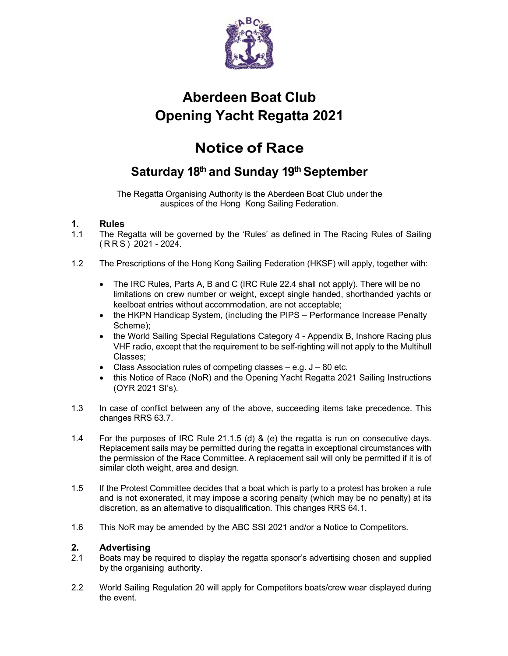

# Aberdeen Boat Club Opening Yacht Regatta 2021 Example 19 2021<br>
Aberdeen Boat Club<br>
Opening Yacht Regatta 2021<br>
Notice of Race<br>
Saturday 18<sup>th</sup> and Sunday 19<sup>th</sup> September<br>
The Regatta Organising Authority is the Aberdeen Boat Club under the<br>
auspices of the Hong Kong

## Notice of Race

## Saturday 18th and Sunday 19th September

The Regatta Organising Authority is the Aberdeen Boat Club under the auspices of the Hong Kong Sailing Federation.

#### 1. Rules

- 1.1 The Regatta will be governed by the 'Rules' as defined in The Racing Rules of Sailing
- 1.2 The Prescriptions of the Hong Kong Sailing Federation (HKSF) will apply, together with:
	- The IRC Rules, Parts A, B and C (IRC Rule 22.4 shall not apply). There will be no limitations on crew number or weight, except single handed, shorthanded yachts or keelboat entries without accommodation, are not acceptable;
	- the HKPN Handicap System, (including the PIPS Performance Increase Penalty Scheme);
	- the World Sailing Special Regulations Category 4 Appendix B, Inshore Racing plus VHF radio, except that the requirement to be self-righting will not apply to the Multihull Classes;
	- Class Association rules of competing classes  $-$  e.g.  $J 80$  etc.
	- this Notice of Race (NoR) and the Opening Yacht Regatta 2021 Sailing Instructions (OYR 2021 SI's).
- 1.3 In case of conflict between any of the above, succeeding items take precedence. This changes RRS 63.7.
- 1.4 For the purposes of IRC Rule 21.1.5 (d) & (e) the regatta is run on consecutive days. Replacement sails may be permitted during the regatta in exceptional circumstances with the permission of the Race Committee. A replacement sail will only be permitted if it is of similar cloth weight, area and design.
- 1.5 If the Protest Committee decides that a boat which is party to a protest has broken a rule and is not exonerated, it may impose a scoring penalty (which may be no penalty) at its discretion, as an alternative to disqualification. This changes RRS 64.1.
- 1.6 This NoR may be amended by the ABC SSI 2021 and/or a Notice to Competitors.

#### 2. Advertising

- 2.1 Boats may be required to display the regatta sponsor's advertising chosen and supplied by the organising authority.
- 2.2 World Sailing Regulation 20 will apply for Competitors boats/crew wear displayed during the event.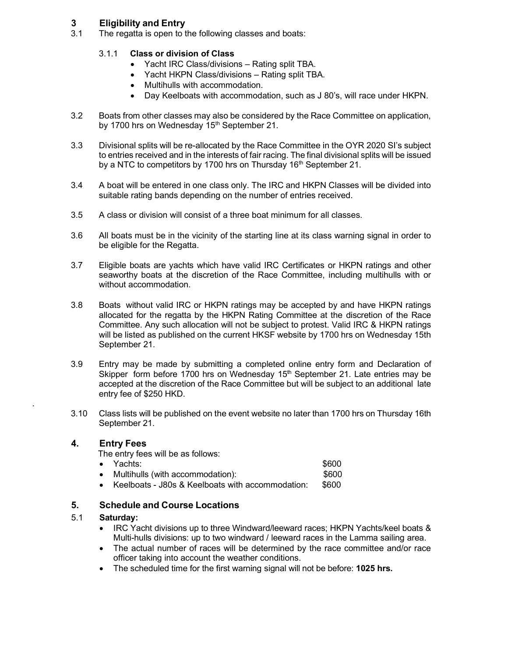#### 3 Eligibility and Entry

3.1 The regatta is open to the following classes and boats:

#### 3.1.1 Class or division of Class

- Yacht IRC Class/divisions Rating split TBA.
- Yacht HKPN Class/divisions Rating split TBA.
- Multihulls with accommodation.
- Day Keelboats with accommodation, such as J 80's, will race under HKPN.
- 3.2 Boats from other classes may also be considered by the Race Committee on application, by 1700 hrs on Wednesday 15<sup>th</sup> September 21.
- 3.3 Divisional splits will be re-allocated by the Race Committee in the OYR 2020 SI's subject to entries received and in the interests of fair racing. The final divisional splits will be issued by a NTC to competitors by 1700 hrs on Thursday 16<sup>th</sup> September 21.
- 3.4 A boat will be entered in one class only. The IRC and HKPN Classes will be divided into suitable rating bands depending on the number of entries received.
- 3.5 A class or division will consist of a three boat minimum for all classes.
- 3.6 All boats must be in the vicinity of the starting line at its class warning signal in order to be eligible for the Regatta.
- 3.7 Eligible boats are yachts which have valid IRC Certificates or HKPN ratings and other seaworthy boats at the discretion of the Race Committee, including multihulls with or without accommodation.
- 3.8 Boats without valid IRC or HKPN ratings may be accepted by and have HKPN ratings allocated for the regatta by the HKPN Rating Committee at the discretion of the Race Committee. Any such allocation will not be subject to protest. Valid IRC & HKPN ratings will be listed as published on the current HKSF website by 1700 hrs on Wednesday 15th September 21.
- 3.9 Entry may be made by submitting a completed online entry form and Declaration of Skipper form before 1700 hrs on Wednesday  $15<sup>th</sup>$  September 21. Late entries may be accepted at the discretion of the Race Committee but will be subject to an additional late entry fee of \$250 HKD.
- 3.10 Class lists will be published on the event website no later than 1700 hrs on Thursday 16th September 21.

#### 4. Entry Fees

.

The entry fees will be as follows:

| $\bullet$ | Yachts:                          | \$600 |
|-----------|----------------------------------|-------|
|           | Multihulls (with accommodation): | \$600 |

Keelboats - J80s & Keelboats with accommodation: \$600

#### 5. Schedule and Course Locations

#### 5.1 Saturday:

- IRC Yacht divisions up to three Windward/leeward races; HKPN Yachts/keel boats & Multi-hulls divisions: up to two windward / leeward races in the Lamma sailing area.
- The actual number of races will be determined by the race committee and/or race officer taking into account the weather conditions.
- The scheduled time for the first warning signal will not be before: 1025 hrs.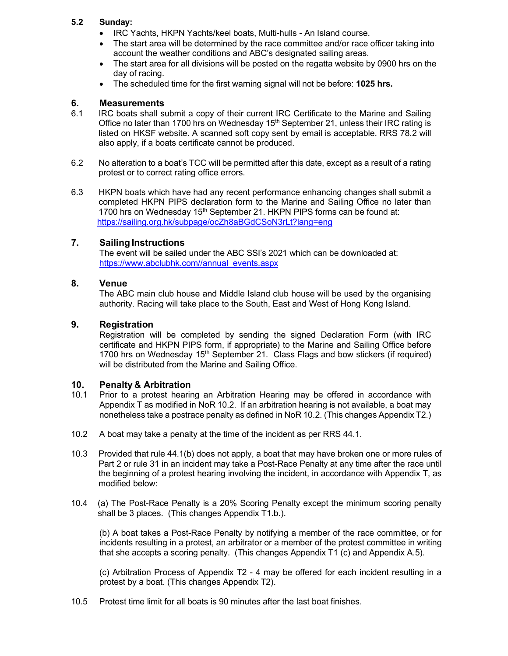#### 5.2 Sunday:

- IRC Yachts, HKPN Yachts/keel boats, Multi-hulls An Island course.
- The start area will be determined by the race committee and/or race officer taking into account the weather conditions and ABC's designated sailing areas.
- The start area for all divisions will be posted on the regatta website by 0900 hrs on the day of racing.
- The scheduled time for the first warning signal will not be before: 1025 hrs.

#### 6. Measurements

- 6.1 IRC boats shall submit a copy of their current IRC Certificate to the Marine and Sailing Office no later than 1700 hrs on Wednesday  $15<sup>th</sup>$  September 21, unless their IRC rating is listed on HKSF website. A scanned soft copy sent by email is acceptable. RRS 78.2 will also apply, if a boats certificate cannot be produced.
- 6.2 No alteration to a boat's TCC will be permitted after this date, except as a result of a rating protest or to correct rating office errors.
- 6.3 HKPN boats which have had any recent performance enhancing changes shall submit a completed HKPN PIPS declaration form to the Marine and Sailing Office no later than 1700 hrs on Wednesday 15<sup>th</sup> September 21. HKPN PIPS forms can be found at: https://sailing.org.hk/subpage/ocZh8aBGdCSoN3rLt?lang=eng

#### 7. Sailing Instructions

The event will be sailed under the ABC SSI's 2021 which can be downloaded at: https://www.abclubhk.com//annual\_events.aspx

#### 8. Venue

The ABC main club house and Middle Island club house will be used by the organising authority. Racing will take place to the South, East and West of Hong Kong Island.

#### 9. Registration

Registration will be completed by sending the signed Declaration Form (with IRC certificate and HKPN PIPS form, if appropriate) to the Marine and Sailing Office before 1700 hrs on Wednesday 15<sup>th</sup> September 21. Class Flags and bow stickers (if required) will be distributed from the Marine and Sailing Office.

#### 10. Penalty & Arbitration

- 10.1 Prior to a protest hearing an Arbitration Hearing may be offered in accordance with Appendix T as modified in NoR 10.2. If an arbitration hearing is not available, a boat may nonetheless take a postrace penalty as defined in NoR 10.2. (This changes Appendix T2.)
- 10.2 A boat may take a penalty at the time of the incident as per RRS 44.1.
- 10.3 Provided that rule 44.1(b) does not apply, a boat that may have broken one or more rules of Part 2 or rule 31 in an incident may take a Post-Race Penalty at any time after the race until the beginning of a protest hearing involving the incident, in accordance with Appendix T, as modified below:
- 10.4 (a) The Post-Race Penalty is a 20% Scoring Penalty except the minimum scoring penalty shall be 3 places. (This changes Appendix T1.b.).

(b) A boat takes a Post-Race Penalty by notifying a member of the race committee, or for incidents resulting in a protest, an arbitrator or a member of the protest committee in writing that she accepts a scoring penalty. (This changes Appendix T1 (c) and Appendix A.5).

(c) Arbitration Process of Appendix T2 - 4 may be offered for each incident resulting in a protest by a boat. (This changes Appendix T2).

10.5 Protest time limit for all boats is 90 minutes after the last boat finishes.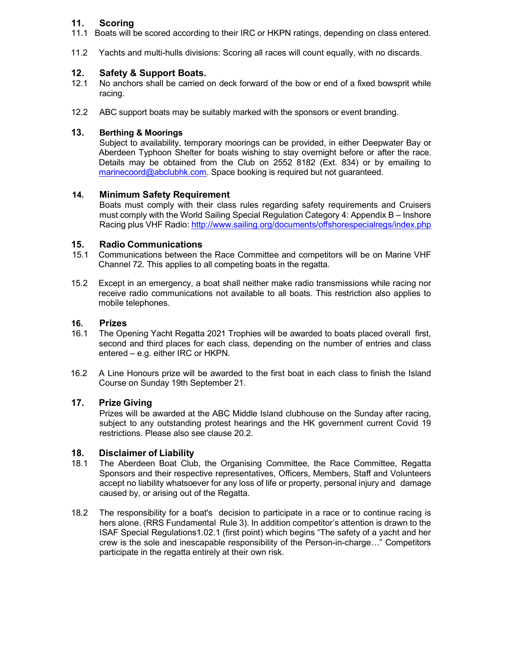#### 11. Scoring

- 11.1 Boats will be scored according to their IRC or HKPN ratings, depending on class entered.
- 11.2 Yachts and multi-hulls divisions: Scoring all races will count equally, with no discards.

#### 12. Safety & Support Boats.

- 12.1 No anchors shall be carried on deck forward of the bow or end of a fixed bowsprit while racing.
- 12.2 ABC support boats may be suitably marked with the sponsors or event branding.

#### 13. Berthing & Moorings

 Subject to availability, temporary moorings can be provided, in either Deepwater Bay or Aberdeen Typhoon Shelter for boats wishing to stay overnight before or after the race. Details may be obtained from the Club on 2552 8182 (Ext. 834) or by emailing to marinecoord@abclubhk.com. Space booking is required but not guaranteed.

#### 14. Minimum Safety Requirement

 Boats must comply with their class rules regarding safety requirements and Cruisers must comply with the World Sailing Special Regulation Category 4: Appendix B – Inshore Racing plus VHF Radio: http://www.sailing.org/documents/offshorespecialregs/index.php

#### 15. Radio Communications

- 15.1 Communications between the Race Committee and competitors will be on Marine VHF Channel 72. This applies to all competing boats in the regatta.
- 15.2 Except in an emergency, a boat shall neither make radio transmissions while racing nor receive radio communications not available to all boats. This restriction also applies to mobile telephones.

#### 16. Prizes

- 16.1 The Opening Yacht Regatta 2021 Trophies will be awarded to boats placed overall first, second and third places for each class, depending on the number of entries and class entered – e.g. either IRC or HKPN.
- 16.2 A Line Honours prize will be awarded to the first boat in each class to finish the Island Course on Sunday 19th September 21.

#### 17. Prize Giving

Prizes will be awarded at the ABC Middle Island clubhouse on the Sunday after racing, subject to any outstanding protest hearings and the HK government current Covid 19 restrictions. Please also see clause 20.2.

#### 18. Disclaimer of Liability

- 18.1 The Aberdeen Boat Club, the Organising Committee, the Race Committee, Regatta Sponsors and their respective representatives, Officers, Members, Staff and Volunteers accept no liability whatsoever for any loss of life or property, personal injury and damage caused by, or arising out of the Regatta.
- 18.2 The responsibility for a boat's decision to participate in a race or to continue racing is hers alone. (RRS Fundamental Rule 3). In addition competitor's attention is drawn to the ISAF Special Regulations1.02.1 (first point) which begins "The safety of a yacht and her crew is the sole and inescapable responsibility of the Person-in-charge…" Competitors participate in the regatta entirely at their own risk.